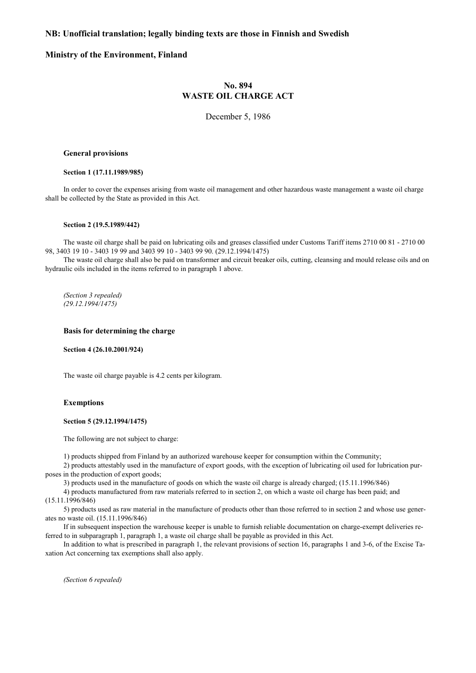# **NB: Unofficial translation; legally binding texts are those in Finnish and Swedish**

# **Ministry of the Environment, Finland**

# **No. 894 WASTE OIL CHARGE ACT**

December 5, 1986

# **General provisions**

## **Section 1 (17.11.1989/985)**

In order to cover the expenses arising from waste oil management and other hazardous waste management a waste oil charge shall be collected by the State as provided in this Act.

#### **Section 2 (19.5.1989/442)**

The waste oil charge shall be paid on lubricating oils and greases classified under Customs Tariff items 2710 00 81 - 2710 00 98, 3403 19 10 - 3403 19 99 and 3403 99 10 - 3403 99 90. (29.12.1994/1475)

The waste oil charge shall also be paid on transformer and circuit breaker oils, cutting, cleansing and mould release oils and on hydraulic oils included in the items referred to in paragraph 1 above.

*(Section 3 repealed) (29.12.1994/1475)* 

## **Basis for determining the charge**

**Section 4 (26.10.2001/924)** 

The waste oil charge payable is 4.2 cents per kilogram.

# **Exemptions**

## **Section 5 (29.12.1994/1475)**

The following are not subject to charge:

1) products shipped from Finland by an authorized warehouse keeper for consumption within the Community;

2) products attestably used in the manufacture of export goods, with the exception of lubricating oil used for lubrication purposes in the production of export goods;

3) products used in the manufacture of goods on which the waste oil charge is already charged; (15.11.1996/846)

4) products manufactured from raw materials referred to in section 2, on which a waste oil charge has been paid; and (15.11.1996/846)

5) products used as raw material in the manufacture of products other than those referred to in section 2 and whose use generates no waste oil. (15.11.1996/846)

If in subsequent inspection the warehouse keeper is unable to furnish reliable documentation on charge-exempt deliveries referred to in subparagraph 1, paragraph 1, a waste oil charge shall be payable as provided in this Act.

In addition to what is prescribed in paragraph 1, the relevant provisions of section 16, paragraphs 1 and 3-6, of the Excise Taxation Act concerning tax exemptions shall also apply.

*(Section 6 repealed)*